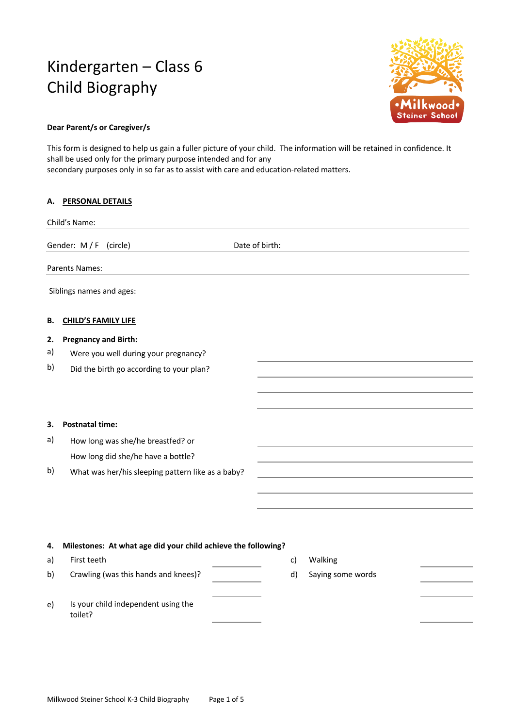# Kindergarten – Class 6 Child Biography



# **Dear Parent/s or Caregiver/s**

This form is designed to help us gain a fuller picture of your child. The information will be retained in confidence. It shall be used only for the primary purpose intended and for any secondary purposes only in so far as to assist with care and education-related matters.

| Α. | <b>PERSONAL DETAILS</b>                                       |                |    |                   |  |
|----|---------------------------------------------------------------|----------------|----|-------------------|--|
|    | Child's Name:                                                 |                |    |                   |  |
|    | Gender: M / F (circle)                                        | Date of birth: |    |                   |  |
|    | Parents Names:                                                |                |    |                   |  |
|    | Siblings names and ages:                                      |                |    |                   |  |
| В. | <b>CHILD'S FAMILY LIFE</b>                                    |                |    |                   |  |
| 2. | <b>Pregnancy and Birth:</b>                                   |                |    |                   |  |
| a) | Were you well during your pregnancy?                          |                |    |                   |  |
| b) | Did the birth go according to your plan?                      |                |    |                   |  |
|    |                                                               |                |    |                   |  |
|    |                                                               |                |    |                   |  |
|    |                                                               |                |    |                   |  |
| 3. | <b>Postnatal time:</b>                                        |                |    |                   |  |
| a) | How long was she/he breastfed? or                             |                |    |                   |  |
|    | How long did she/he have a bottle?                            |                |    |                   |  |
| b) | What was her/his sleeping pattern like as a baby?             |                |    |                   |  |
|    |                                                               |                |    |                   |  |
|    |                                                               |                |    |                   |  |
|    |                                                               |                |    |                   |  |
|    |                                                               |                |    |                   |  |
| 4. | Milestones: At what age did your child achieve the following? |                |    |                   |  |
| a) | First teeth                                                   |                | c) | Walking           |  |
| b) | Crawling (was this hands and knees)?                          |                | d) | Saying some words |  |
|    |                                                               |                |    |                   |  |
| e) | Is your child independent using the<br>toilet?                |                |    |                   |  |
|    |                                                               |                |    |                   |  |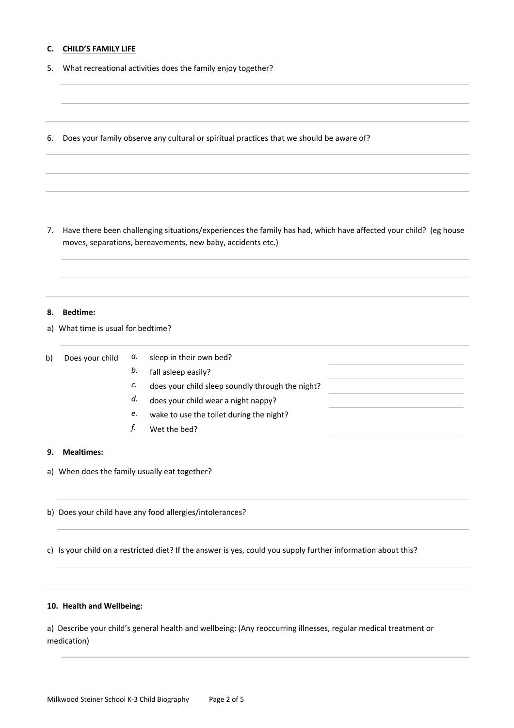## **C. CHILD'S FAMILY LIFE**

5. What recreational activities does the family enjoy together?

6. Does your family observe any cultural or spiritual practices that we should be aware of?

7. Have there been challenging situations/experiences the family has had, which have affected your child? (eg house moves, separations, bereavements, new baby, accidents etc.)

#### **8. Bedtime:**

a) What time is usual for bedtime?

| b) | Does your child | а. | sleep in their own bed?                          |  |
|----|-----------------|----|--------------------------------------------------|--|
|    |                 | b. | fall asleep easily?                              |  |
|    |                 | c. | does your child sleep soundly through the night? |  |
|    |                 | d. | does your child wear a night nappy?              |  |
|    |                 | е. | wake to use the toilet during the night?         |  |
|    |                 |    | Wet the bed?                                     |  |
|    |                 |    |                                                  |  |

## **9. Mealtimes:**

- a) When does the family usually eat together?
- b) Does your child have any food allergies/intolerances?
- c) Is your child on a restricted diet? If the answer is yes, could you supply further information about this?

### **10. Health and Wellbeing:**

a) Describe your child's general health and wellbeing: (Any reoccurring illnesses, regular medical treatment or medication)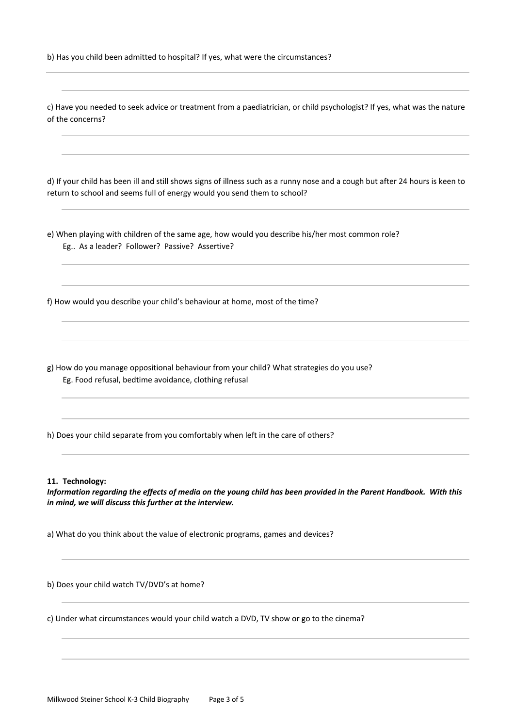b) Has you child been admitted to hospital? If yes, what were the circumstances?

c) Have you needed to seek advice or treatment from a paediatrician, or child psychologist? If yes, what was the nature of the concerns?

d) If your child has been ill and still shows signs of illness such as a runny nose and a cough but after 24 hours is keen to return to school and seems full of energy would you send them to school?

e) When playing with children of the same age, how would you describe his/her most common role? Eg.. As a leader? Follower? Passive? Assertive?

f) How would you describe your child's behaviour at home, most of the time?

g) How do you manage oppositional behaviour from your child? What strategies do you use? Eg. Food refusal, bedtime avoidance, clothing refusal

h) Does your child separate from you comfortably when left in the care of others?

#### **11. Technology:**

*Information regarding the effects of media on the young child has been provided in the Parent Handbook. With this in mind, we will discuss this further at the interview.*

a) What do you think about the value of electronic programs, games and devices?

b) Does your child watch TV/DVD's at home?

c) Under what circumstances would your child watch a DVD, TV show or go to the cinema?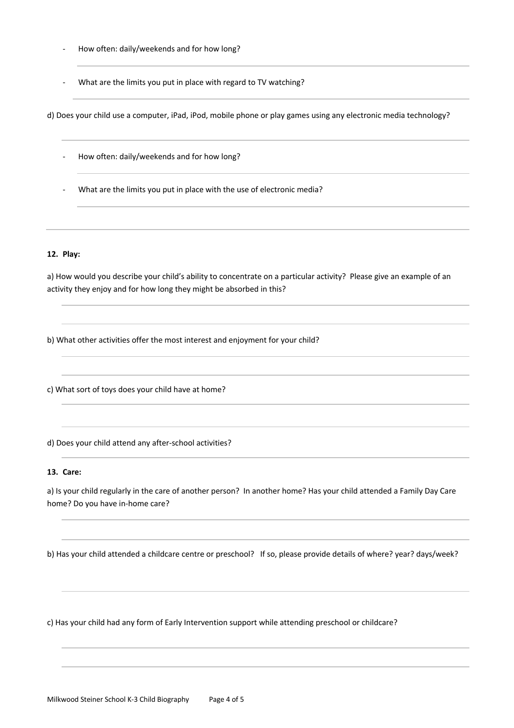- How often: daily/weekends and for how long?
- What are the limits you put in place with regard to TV watching?

d) Does your child use a computer, iPad, iPod, mobile phone or play games using any electronic media technology?

- How often: daily/weekends and for how long?
- What are the limits you put in place with the use of electronic media?

#### **12. Play:**

a) How would you describe your child's ability to concentrate on a particular activity? Please give an example of an activity they enjoy and for how long they might be absorbed in this?

b) What other activities offer the most interest and enjoyment for your child?

c) What sort of toys does your child have at home?

d) Does your child attend any after-school activities?

## **13. Care:**

a) Is your child regularly in the care of another person? In another home? Has your child attended a Family Day Care home? Do you have in-home care?

b) Has your child attended a childcare centre or preschool? If so, please provide details of where? year? days/week?

c) Has your child had any form of Early Intervention support while attending preschool or childcare?